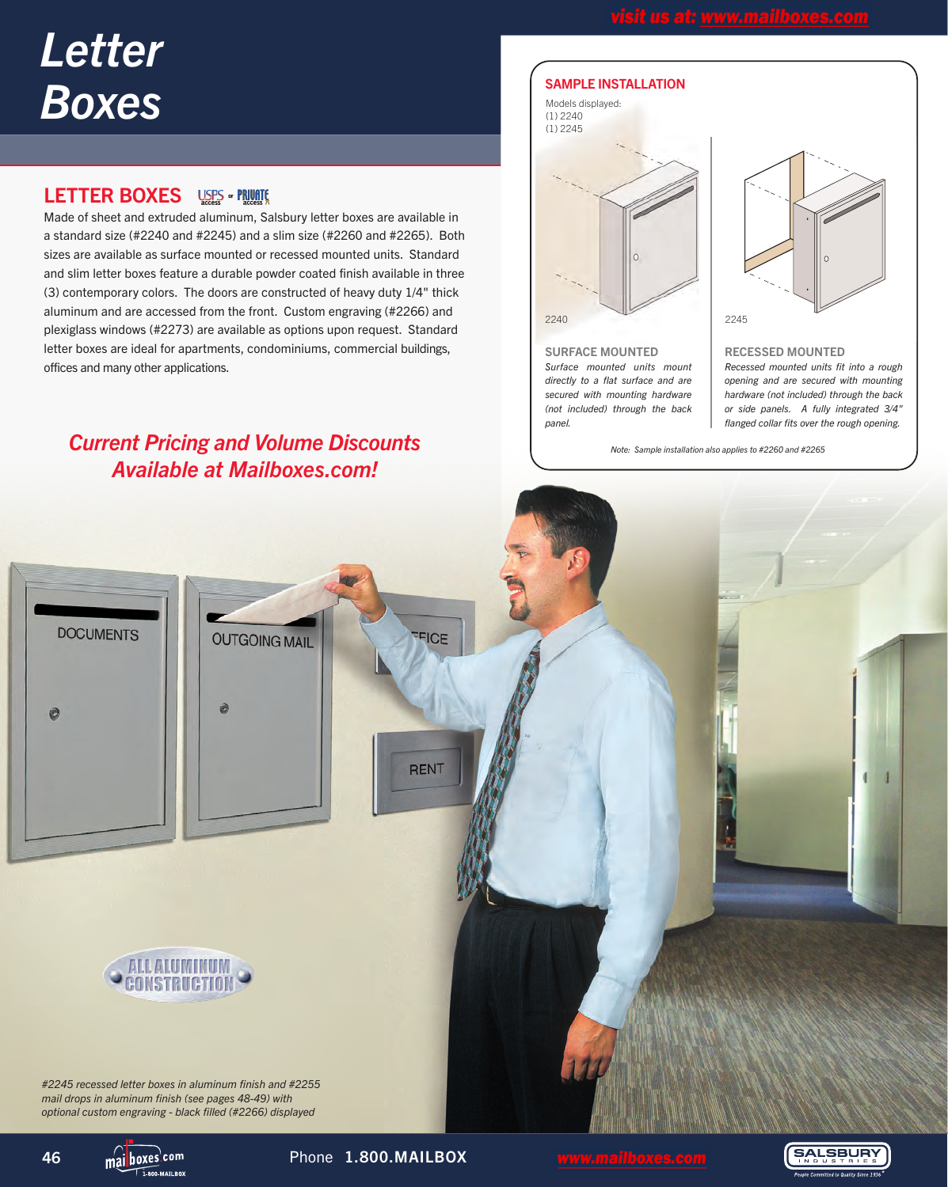# *Letter Boxes*

# **LETTER BOXES** USES **FRUCE**

Made of sheet and extruded aluminum, Salsbury letter boxes are available in a standard size (#2240 and #2245) and a slim size (#2260 and #2265). Both sizes are available as surface mounted or recessed mounted units. Standard and slim letter boxes feature a durable powder coated finish available in three (3) contemporary colors. The doors are constructed of heavy duty 1/4" thick aluminum and are accessed from the front. Custom engraving (#2266) and plexiglass windows (#2273) are available as options upon request. Standard letter boxes are ideal for apartments, condominiums, commercial buildings, offices and many other applications.

# *Current Pricing and Volume Discounts Available at Mailboxes.com!*

#### SAMPLE INSTALLATION

# 2240 2245 Models displayed: (1) 2240 (1) 2245

SURFACE MOUNTED *Surface mounted units mount directly to a flat surface and are secured with mounting hardware (not included) through the back panel.*



RECESSED MOUNTED

*Recessed mounted units fit into a rough opening and are secured with mounting hardware (not included) through the back or side panels. A fully integrated 3/4" flanged collar fits over the rough opening.*

*Note: Sample installation also applies to #2260 and #2265*